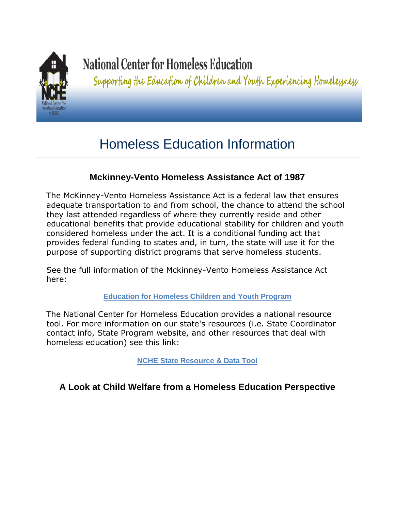

# **National Center for Homeless Education**

Supporting the Education of Children and Youth Experiencing Homelessness

## Homeless Education Information

## **Mckinney-Vento Homeless Assistance Act of 1987**

The McKinney-Vento Homeless Assistance Act is a federal law that ensures adequate transportation to and from school, the chance to attend the school they last attended regardless of where they currently reside and other educational benefits that provide educational stability for children and youth considered homeless under the act. It is a conditional funding act that provides federal funding to states and, in turn, the state will use it for the purpose of supporting district programs that serve homeless students.

See the full information of the Mckinney-Vento Homeless Assistance Act here:

#### **[Education for Homeless Children and Youth Program](http://www2.ed.gov/programs/homeless/guidance.pdf)**

The National Center for Homeless Education provides a national resource tool. For more information on our state's resources (i.e. State Coordinator contact info, State Program website, and other resources that deal with homeless education) see this link:

**[NCHE State Resource & Data Tool](http://nche.ed.gov/states/state_resources.php)**

## **A Look at Child Welfare from a Homeless Education Perspective**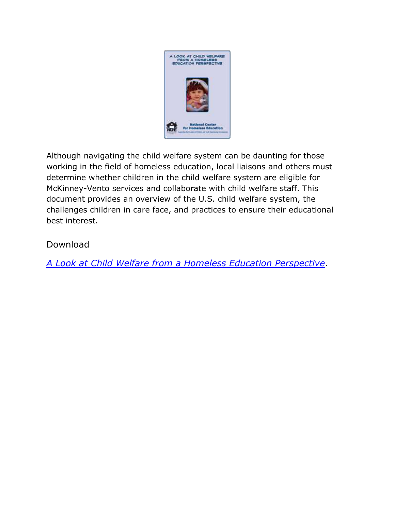

Although navigating the child welfare system can be daunting for those working in the field of homeless education, local liaisons and others must determine whether children in the child welfare system are eligible for McKinney-Vento services and collaborate with child welfare staff. This document provides an overview of the U.S. child welfare system, the challenges children in care face, and practices to ensure their educational best interest.

## Download

*[A Look at Child Welfare from a Homeless Education Perspective](http://nche.ed.gov/downloads/ch_welfare.pdf)*.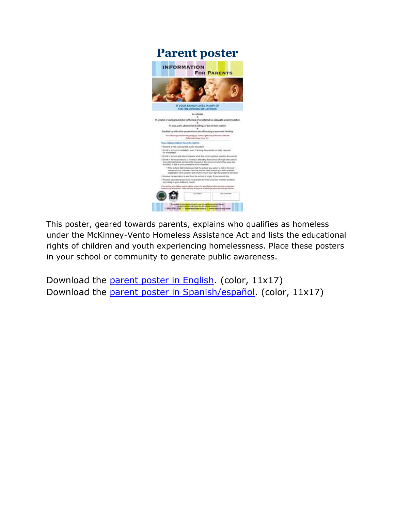

This poster, geared towards parents, explains who qualifies as homeless under the McKinney-Vento Homeless Assistance Act and lists the educational rights of children and youth experiencing homelessness. Place these posters in your school or community to generate public awareness.

Download the [parent poster in English.](http://nche.ed.gov/downloads/parentposter_eng_color.pdf) (color, 11x17) Download the [parent poster in Spanish/español.](http://nche.ed.gov/downloads/parentposter_sp_color.pdf) (color, 11x17)